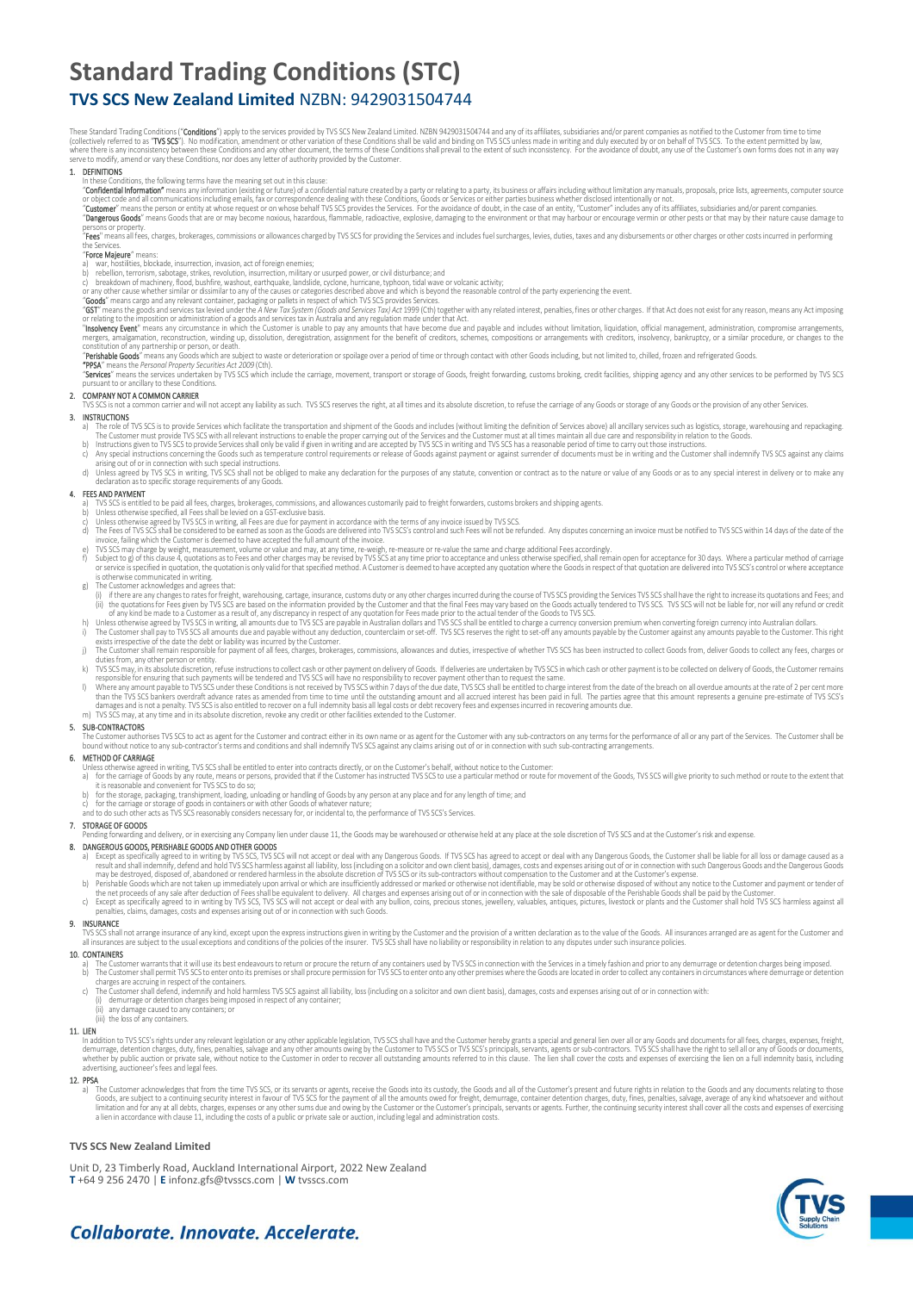# **Standard Trading Conditions (STC)**

# **TVS SCS New Zealand Limited** NZBN: 9429031504744

These Standard Frading Cond**ul**on's ("**CONDIDONS**") apply to the services provided by TVS SUS New Zealand Limited. NZBN 9429031504744 and any or its affiliates, subsidaries and/or parent companies as notified to the Custom

### 1. DEFINITIONS

- 
- In these Conditions, the following terms have the meaning set out in this clause:<br>"**Confidential Information**" means any information (existing or future) of a confidential nature created by a party or relating to a party,
- or object code and all communications including emails, fax or correspondence dealing with these Conditions, Goods or Services or either parties business whether disclosed intentionally or not.<br>"**Cuatomer"** means the perso
- persons or property.<br>"**Fees**" means all fees, charges, brokerages, commissions or allowances charged by TVS SCS for providing the Services and includes fuel surcharges, levies, duties, taxes and any disbursements or other

# the Services.<br>"**Force Majeure**" means:

- 
- 
- 
- 
- a) war, nostilities, blockade, insurrection, invarion, acto foreign enemies;<br>c) beligion, termsins, sabotage, strikes, revolution, insurrection, military or usurped power, or civil disturbance; and<br>c) breakdown of machiner
- 
- 

mergers, amagamaton, reconstruction, winding up, dissolution, deregistration, assignment for the benefit of creditors, schemes, compositions or arrangements with creditors, insolvency, bankruptcy, or a similar procedure, o

# 2. COMPANY NOT A COMMON CARRIER

or a recomment carrier and will not accept any liability as such. TVS SCS reserves the right, at all times and its absolute discretion, to refuse the carriage of any Goods or storage of any Goods or the provision of any ot

- 3. INSIGNATIONS<br>a) The role of TVS SCS is to provide Services which facilitate the transportation and shipment of the Goods and includes (without limiting the definition of Services above) all ancillary services such as lo
- 
- d) Unless agreed by IVS SCS in writing, IVS SCS shall not be obliged to make any declaration for the purposes of any statute, convention or contract as to the nature or value of any Goods or as to any special interest in d

### 4. FEES AND PAYMENT

- 
- 
- 
- a) IVS SCS is entitled to be paid all rees, charges, brokerages, commissions, and allowances customanly paid to freight forwarders, customs brokers and shipping agents.<br>b) Unless otherwise speed by TVS SCS in writing, all
- 
- 
- 
- in the Customer is deemed to have acceptat the Ulamount of the measure or re-value the same and charge additional Fees accordingly.<br>In SusSS may charge by weight, measurement to have accept the full amount of the involce.
- 
- 
- 
- K) IVS SCS may, in its absolute discretion, reuse instructions to collect cash or other payment is to be collected on delivery of Goods, the Customer remains is not responsible for ensuring that such payments will be tende
- 

# 5. SUB-CONTRACTORS

The Customer authorises TVS SCS to act as agent for the Customer and contract either in its own name or as agent for the Customer with any sub-contractors on any terms for the performance of all or any part of the Services

- 
- **6. MEIHOD OF CARKIAGE**<br>Unless otherwise agreed in writing, TVS SCS shall be entitled to enter into contracts directly, or on the Customer's behalf, without notice to the Customer:<br>a) for the carriage of Goods by any rout
	-
	- b) for the storage, packaging, transhipment, loading, unloading or handling of Goods by any person at any place and for any length of time; and<br>c) for the carriage or storage of goods in containers or with other Goods

7. STORAGE OF GOODS<br>Pending forwarding and delivery, or in exercising any Company lien under clause 11, the Goods may be warehoused or otherwise held at any place at the sole discretion of TVS SCS and at the Customer's ris

- Pending forwarding and delivery, or in exercision and per Secure in mediate No. The Goods may be warehoused or otherwise held at any place at the sole discretion of TVS SCS and at the Customer's risk and expense.<br>
2000 AND
- 
- 

TVS SCS shall not arrange insurance of any kind, except upon the express instructions given in writing by the Customer and the provision of a written declaration as to the value of the Goods. All insurances arranged are as

- 
- 10. CONTAINERS<br>a) The Customer warrants that it will use its best endeavours to return or procure the return of any containers used by TVS SCS in connection with the Services in a timely fashion and prior to any demurrage
	-
	-
	- any damage caused to any containers; or (iii) the loss of any containers.

# 11. LIEN

In addition to TVS SCS's rights under any relevant legislation or any other applicable legislation, TVS SCS shall have and the Customer hereby grants a special and general lien over all or any Goods and documents for all f

12. PPSA external duties rights in relation to the time TVS SCS, or its servants or agents, receive the Goods into its custody, the Goods and all of the Customer's present and future rights in relation to the Goods and any

# **TVS SCS New Zealand Limited**

Unit D, 23 Timberly Road, Auckland International Airport, 2022 New Zealand **T** +64 9 256 2470 | **E** infonz.gfs@tvsscs.com | **W** tvsscs.com